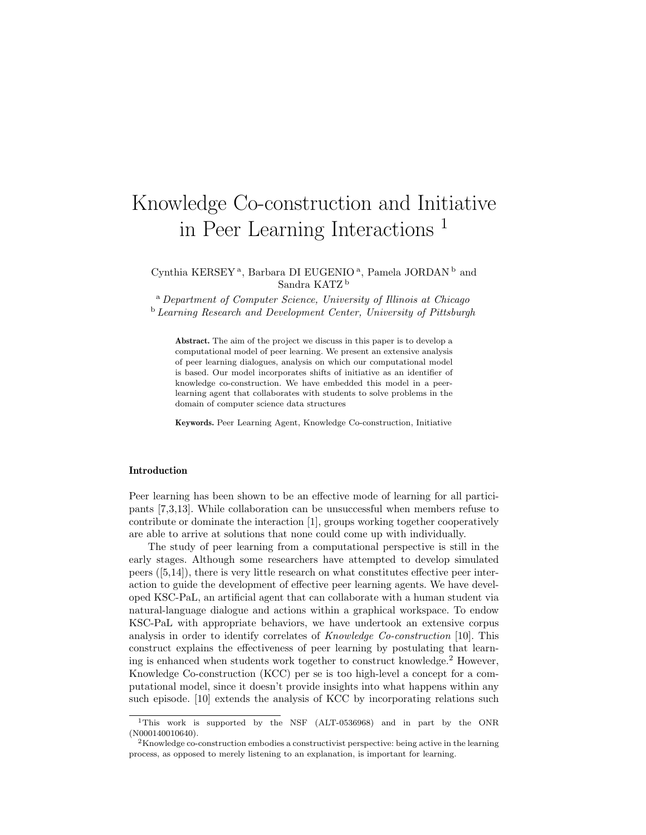# Knowledge Co-construction and Initiative in Peer Learning Interactions <sup>1</sup>

Cynthia KERSEY<sup>a</sup>, Barbara DI EUGENIO<sup>a</sup>, Pamela JORDAN<sup>b</sup> and Sandra KATZ <sup>b</sup>

<sup>a</sup> Department of Computer Science, University of Illinois at Chicago <sup>b</sup> Learning Research and Development Center, University of Pittsburgh

Abstract. The aim of the project we discuss in this paper is to develop a computational model of peer learning. We present an extensive analysis of peer learning dialogues, analysis on which our computational model is based. Our model incorporates shifts of initiative as an identifier of knowledge co-construction. We have embedded this model in a peerlearning agent that collaborates with students to solve problems in the domain of computer science data structures

Keywords. Peer Learning Agent, Knowledge Co-construction, Initiative

## Introduction

Peer learning has been shown to be an effective mode of learning for all participants [7,3,13]. While collaboration can be unsuccessful when members refuse to contribute or dominate the interaction [1], groups working together cooperatively are able to arrive at solutions that none could come up with individually.

The study of peer learning from a computational perspective is still in the early stages. Although some researchers have attempted to develop simulated peers ([5,14]), there is very little research on what constitutes effective peer interaction to guide the development of effective peer learning agents. We have developed KSC-PaL, an artificial agent that can collaborate with a human student via natural-language dialogue and actions within a graphical workspace. To endow KSC-PaL with appropriate behaviors, we have undertook an extensive corpus analysis in order to identify correlates of *Knowledge Co-construction* [10]. This construct explains the effectiveness of peer learning by postulating that learning is enhanced when students work together to construct knowledge.<sup>2</sup> However, Knowledge Co-construction (KCC) per se is too high-level a concept for a computational model, since it doesn't provide insights into what happens within any such episode. [10] extends the analysis of KCC by incorporating relations such

<sup>&</sup>lt;sup>1</sup>This work is supported by the NSF (ALT-0536968) and in part by the ONR (N000140010640).

<sup>2</sup>Knowledge co-construction embodies a constructivist perspective: being active in the learning process, as opposed to merely listening to an explanation, is important for learning.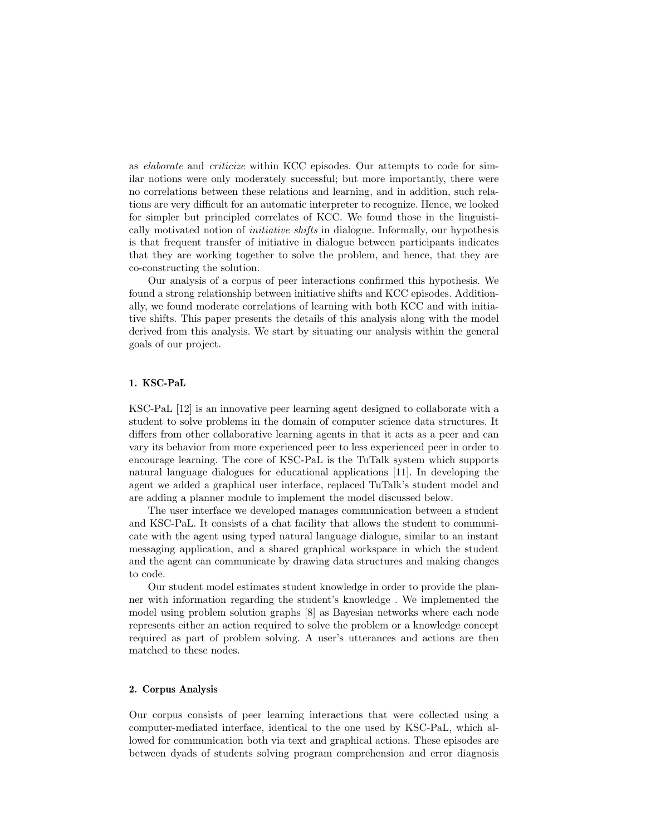as elaborate and criticize within KCC episodes. Our attempts to code for similar notions were only moderately successful; but more importantly, there were no correlations between these relations and learning, and in addition, such relations are very difficult for an automatic interpreter to recognize. Hence, we looked for simpler but principled correlates of KCC. We found those in the linguistically motivated notion of initiative shifts in dialogue. Informally, our hypothesis is that frequent transfer of initiative in dialogue between participants indicates that they are working together to solve the problem, and hence, that they are co-constructing the solution.

Our analysis of a corpus of peer interactions confirmed this hypothesis. We found a strong relationship between initiative shifts and KCC episodes. Additionally, we found moderate correlations of learning with both KCC and with initiative shifts. This paper presents the details of this analysis along with the model derived from this analysis. We start by situating our analysis within the general goals of our project.

# 1. KSC-PaL

KSC-PaL [12] is an innovative peer learning agent designed to collaborate with a student to solve problems in the domain of computer science data structures. It differs from other collaborative learning agents in that it acts as a peer and can vary its behavior from more experienced peer to less experienced peer in order to encourage learning. The core of KSC-PaL is the TuTalk system which supports natural language dialogues for educational applications [11]. In developing the agent we added a graphical user interface, replaced TuTalk's student model and are adding a planner module to implement the model discussed below.

The user interface we developed manages communication between a student and KSC-PaL. It consists of a chat facility that allows the student to communicate with the agent using typed natural language dialogue, similar to an instant messaging application, and a shared graphical workspace in which the student and the agent can communicate by drawing data structures and making changes to code.

Our student model estimates student knowledge in order to provide the planner with information regarding the student's knowledge . We implemented the model using problem solution graphs [8] as Bayesian networks where each node represents either an action required to solve the problem or a knowledge concept required as part of problem solving. A user's utterances and actions are then matched to these nodes.

# 2. Corpus Analysis

Our corpus consists of peer learning interactions that were collected using a computer-mediated interface, identical to the one used by KSC-PaL, which allowed for communication both via text and graphical actions. These episodes are between dyads of students solving program comprehension and error diagnosis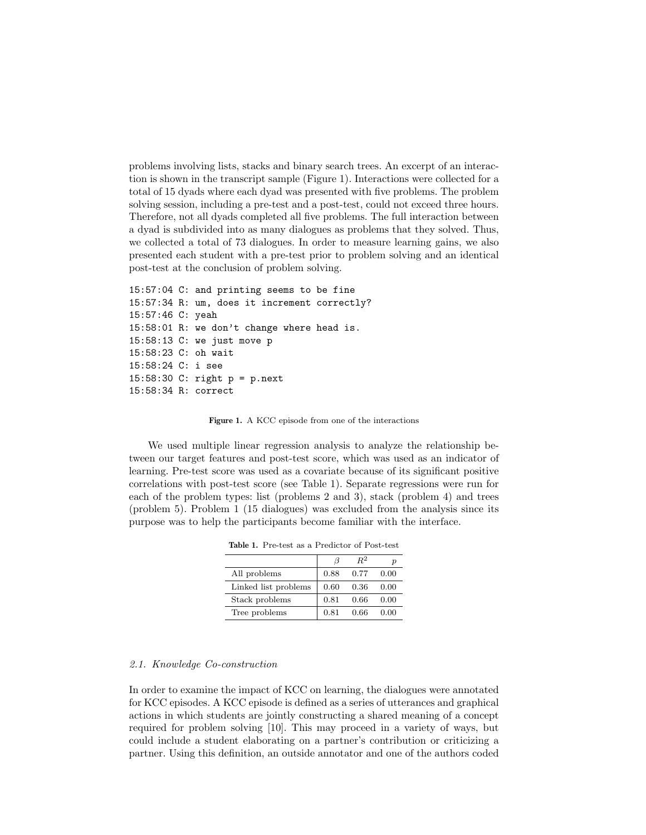problems involving lists, stacks and binary search trees. An excerpt of an interaction is shown in the transcript sample (Figure 1). Interactions were collected for a total of 15 dyads where each dyad was presented with five problems. The problem solving session, including a pre-test and a post-test, could not exceed three hours. Therefore, not all dyads completed all five problems. The full interaction between a dyad is subdivided into as many dialogues as problems that they solved. Thus, we collected a total of 73 dialogues. In order to measure learning gains, we also presented each student with a pre-test prior to problem solving and an identical post-test at the conclusion of problem solving.

```
15:57:04 C: and printing seems to be fine
15:57:34 R: um, does it increment correctly?
15:57:46 C: yeah
15:58:01 R: we don't change where head is.
15:58:13 C: we just move p
15:58:23 C: oh wait
15:58:24 C: i see
15:58:30 C: right p = p.next
15:58:34 R: correct
```
Figure 1. A KCC episode from one of the interactions

We used multiple linear regression analysis to analyze the relationship between our target features and post-test score, which was used as an indicator of learning. Pre-test score was used as a covariate because of its significant positive correlations with post-test score (see Table 1). Separate regressions were run for each of the problem types: list (problems 2 and 3), stack (problem 4) and trees (problem 5). Problem 1 (15 dialogues) was excluded from the analysis since its purpose was to help the participants become familiar with the interface.

|                      |      | $R^2$ |      |
|----------------------|------|-------|------|
| All problems         | 0.88 | 0.77  | 0.00 |
| Linked list problems | 0.60 | 0.36  | 0.00 |
| Stack problems       | 0.81 | 0.66  | 0.00 |
| Tree problems        | 0.81 | 0.66  | 0.00 |

Table 1. Pre-test as a Predictor of Post-test

#### 2.1. Knowledge Co-construction

In order to examine the impact of KCC on learning, the dialogues were annotated for KCC episodes. A KCC episode is defined as a series of utterances and graphical actions in which students are jointly constructing a shared meaning of a concept required for problem solving [10]. This may proceed in a variety of ways, but could include a student elaborating on a partner's contribution or criticizing a partner. Using this definition, an outside annotator and one of the authors coded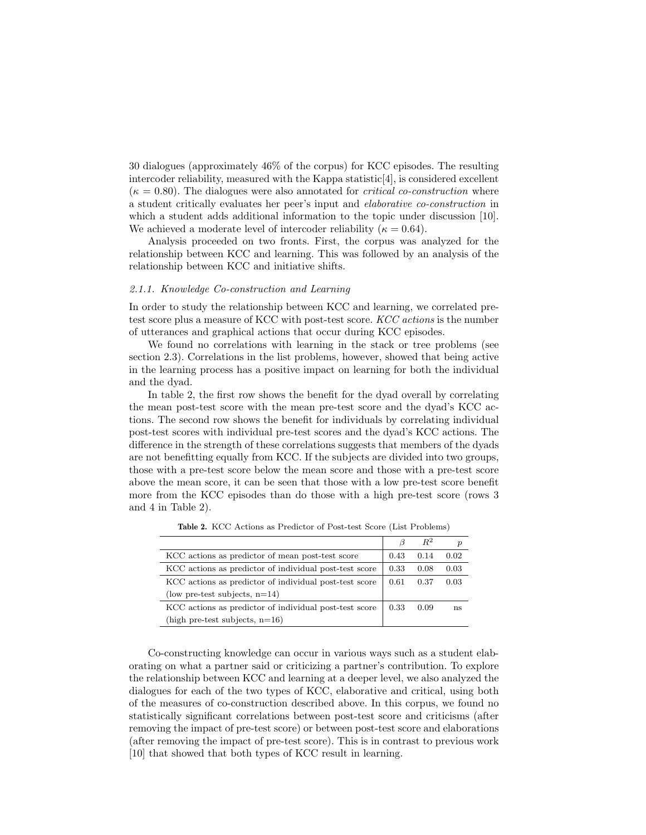30 dialogues (approximately 46% of the corpus) for KCC episodes. The resulting intercoder reliability, measured with the Kappa statistic $[4]$ , is considered excellent  $(\kappa = 0.80)$ . The dialogues were also annotated for *critical co-construction* where a student critically evaluates her peer's input and elaborative co-construction in which a student adds additional information to the topic under discussion [10]. We achieved a moderate level of intercoder reliability ( $\kappa = 0.64$ ).

Analysis proceeded on two fronts. First, the corpus was analyzed for the relationship between KCC and learning. This was followed by an analysis of the relationship between KCC and initiative shifts.

# 2.1.1. Knowledge Co-construction and Learning

In order to study the relationship between KCC and learning, we correlated pretest score plus a measure of KCC with post-test score. KCC actions is the number of utterances and graphical actions that occur during KCC episodes.

We found no correlations with learning in the stack or tree problems (see section 2.3). Correlations in the list problems, however, showed that being active in the learning process has a positive impact on learning for both the individual and the dyad.

In table 2, the first row shows the benefit for the dyad overall by correlating the mean post-test score with the mean pre-test score and the dyad's KCC actions. The second row shows the benefit for individuals by correlating individual post-test scores with individual pre-test scores and the dyad's KCC actions. The difference in the strength of these correlations suggests that members of the dyads are not benefitting equally from KCC. If the subjects are divided into two groups, those with a pre-test score below the mean score and those with a pre-test score above the mean score, it can be seen that those with a low pre-test score benefit more from the KCC episodes than do those with a high pre-test score (rows 3 and 4 in Table 2).

|                                                        |      | $R^2$ | $\boldsymbol{p}$ |
|--------------------------------------------------------|------|-------|------------------|
| KCC actions as predictor of mean post-test score       |      | 0.14  | 0.02             |
| KCC actions as predictor of individual post-test score | 0.33 | 0.08  | 0.03             |
| KCC actions as predictor of individual post-test score | 0.61 | 0.37  | 0.03             |
| (low pre-test subjects, $n=14$ )                       |      |       |                  |
| KCC actions as predictor of individual post-test score |      | 0.09  | ns               |
| (high pre-test subjects, $n=16$ )                      |      |       |                  |

Table 2. KCC Actions as Predictor of Post-test Score (List Problems)

Co-constructing knowledge can occur in various ways such as a student elaborating on what a partner said or criticizing a partner's contribution. To explore the relationship between KCC and learning at a deeper level, we also analyzed the dialogues for each of the two types of KCC, elaborative and critical, using both of the measures of co-construction described above. In this corpus, we found no statistically significant correlations between post-test score and criticisms (after removing the impact of pre-test score) or between post-test score and elaborations (after removing the impact of pre-test score). This is in contrast to previous work [10] that showed that both types of KCC result in learning.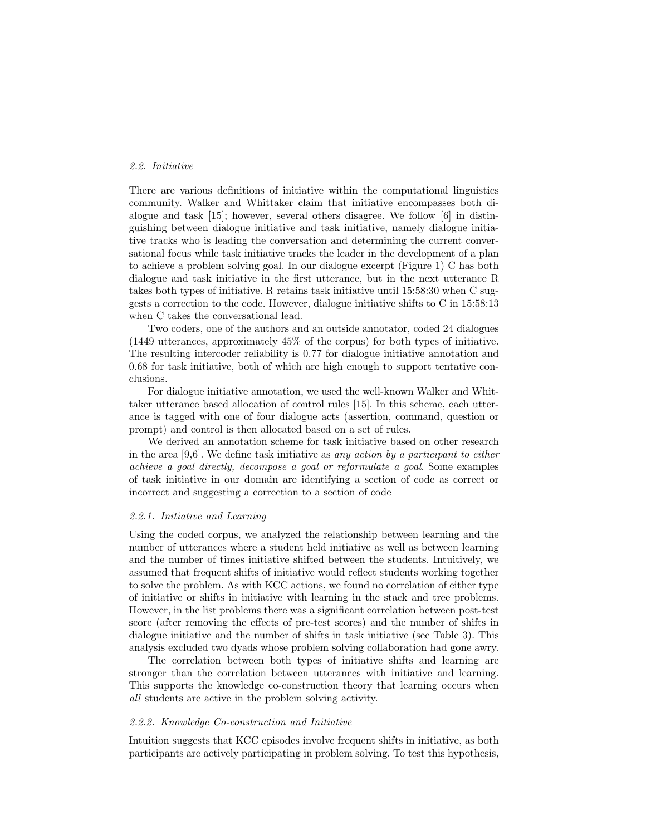### 2.2. Initiative

There are various definitions of initiative within the computational linguistics community. Walker and Whittaker claim that initiative encompasses both dialogue and task [15]; however, several others disagree. We follow [6] in distinguishing between dialogue initiative and task initiative, namely dialogue initiative tracks who is leading the conversation and determining the current conversational focus while task initiative tracks the leader in the development of a plan to achieve a problem solving goal. In our dialogue excerpt (Figure 1) C has both dialogue and task initiative in the first utterance, but in the next utterance R takes both types of initiative. R retains task initiative until 15:58:30 when C suggests a correction to the code. However, dialogue initiative shifts to C in 15:58:13 when C takes the conversational lead.

Two coders, one of the authors and an outside annotator, coded 24 dialogues (1449 utterances, approximately 45% of the corpus) for both types of initiative. The resulting intercoder reliability is 0.77 for dialogue initiative annotation and 0.68 for task initiative, both of which are high enough to support tentative conclusions.

For dialogue initiative annotation, we used the well-known Walker and Whittaker utterance based allocation of control rules [15]. In this scheme, each utterance is tagged with one of four dialogue acts (assertion, command, question or prompt) and control is then allocated based on a set of rules.

We derived an annotation scheme for task initiative based on other research in the area [9,6]. We define task initiative as *any action by a participant to either* achieve a goal directly, decompose a goal or reformulate a goal. Some examples of task initiative in our domain are identifying a section of code as correct or incorrect and suggesting a correction to a section of code

### 2.2.1. Initiative and Learning

Using the coded corpus, we analyzed the relationship between learning and the number of utterances where a student held initiative as well as between learning and the number of times initiative shifted between the students. Intuitively, we assumed that frequent shifts of initiative would reflect students working together to solve the problem. As with KCC actions, we found no correlation of either type of initiative or shifts in initiative with learning in the stack and tree problems. However, in the list problems there was a significant correlation between post-test score (after removing the effects of pre-test scores) and the number of shifts in dialogue initiative and the number of shifts in task initiative (see Table 3). This analysis excluded two dyads whose problem solving collaboration had gone awry.

The correlation between both types of initiative shifts and learning are stronger than the correlation between utterances with initiative and learning. This supports the knowledge co-construction theory that learning occurs when all students are active in the problem solving activity.

#### 2.2.2. Knowledge Co-construction and Initiative

Intuition suggests that KCC episodes involve frequent shifts in initiative, as both participants are actively participating in problem solving. To test this hypothesis,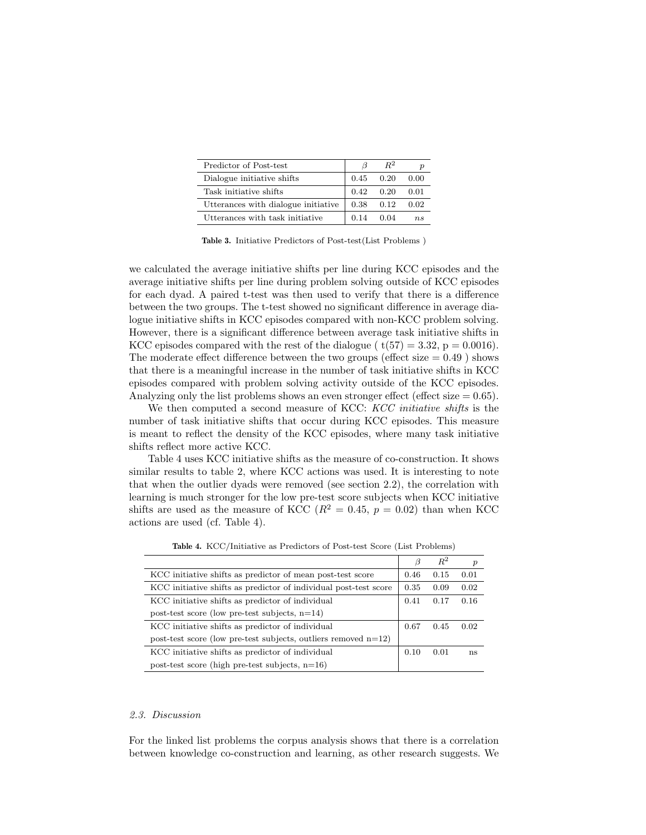| Predictor of Post-test              | 13   | $R^2$ |             |
|-------------------------------------|------|-------|-------------|
| Dialogue initiative shifts          | 0.45 | 0.20  | 0.00        |
| Task initiative shifts              | 0.42 | 0.20  | 0.01        |
| Utterances with dialogue initiative | 0.38 | 0.12  | 0.02        |
| Utterances with task initiative     | 0.14 | 0.04  | $n_{\rm s}$ |

Table 3. Initiative Predictors of Post-test(List Problems )

we calculated the average initiative shifts per line during KCC episodes and the average initiative shifts per line during problem solving outside of KCC episodes for each dyad. A paired t-test was then used to verify that there is a difference between the two groups. The t-test showed no significant difference in average dialogue initiative shifts in KCC episodes compared with non-KCC problem solving. However, there is a significant difference between average task initiative shifts in KCC episodes compared with the rest of the dialogue ( $t(57) = 3.32$ ,  $p = 0.0016$ ). The moderate effect difference between the two groups (effect size  $= 0.49$ ) shows that there is a meaningful increase in the number of task initiative shifts in KCC episodes compared with problem solving activity outside of the KCC episodes. Analyzing only the list problems shows an even stronger effect (effect size  $= 0.65$ ).

We then computed a second measure of KCC: KCC initiative shifts is the number of task initiative shifts that occur during KCC episodes. This measure is meant to reflect the density of the KCC episodes, where many task initiative shifts reflect more active KCC.

Table 4 uses KCC initiative shifts as the measure of co-construction. It shows similar results to table 2, where KCC actions was used. It is interesting to note that when the outlier dyads were removed (see section 2.2), the correlation with learning is much stronger for the low pre-test score subjects when KCC initiative shifts are used as the measure of KCC ( $R^2 = 0.45$ ,  $p = 0.02$ ) than when KCC actions are used (cf. Table 4).

|                                                                   | B    | $R^2$ | $\boldsymbol{p}$ |
|-------------------------------------------------------------------|------|-------|------------------|
| KCC initiative shifts as predictor of mean post-test score        | 0.46 | 0.15  | 0.01             |
| KCC initiative shifts as predictor of individual post-test score  | 0.35 | 0.09  | 0.02             |
| KCC initiative shifts as predictor of individual                  | 0.41 | 0.17  | 0.16             |
| post-test score (low pre-test subjects, $n=14$ )                  |      |       |                  |
| KCC initiative shifts as predictor of individual                  | 0.67 | 0.45  | 0.02             |
| post-test score (low pre-test subjects, outliers removed $n=12$ ) |      |       |                  |
| KCC initiative shifts as predictor of individual                  | 0.10 | 0.01  | ns               |
| post-test score (high pre-test subjects, $n=16$ )                 |      |       |                  |

Table 4. KCC/Initiative as Predictors of Post-test Score (List Problems)

# 2.3. Discussion

For the linked list problems the corpus analysis shows that there is a correlation between knowledge co-construction and learning, as other research suggests. We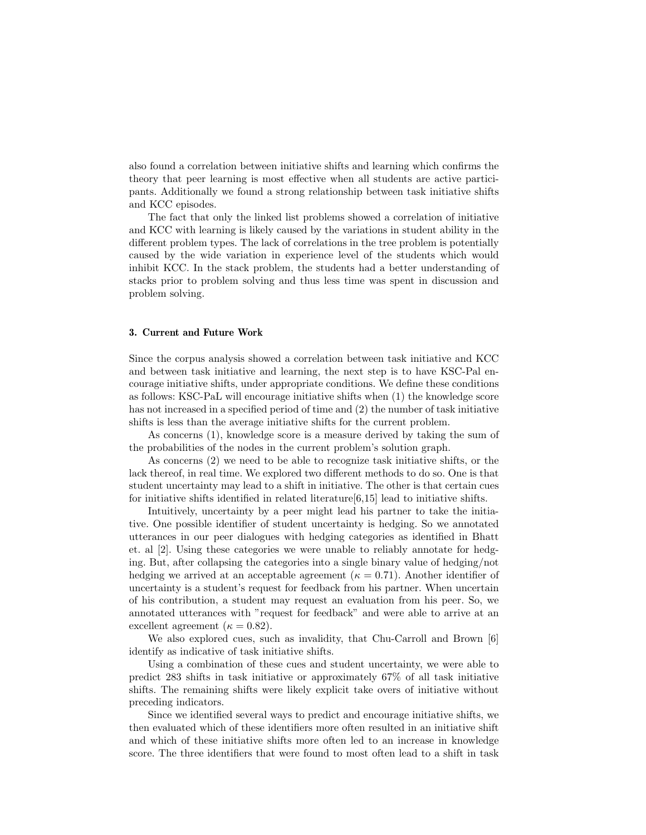also found a correlation between initiative shifts and learning which confirms the theory that peer learning is most effective when all students are active participants. Additionally we found a strong relationship between task initiative shifts and KCC episodes.

The fact that only the linked list problems showed a correlation of initiative and KCC with learning is likely caused by the variations in student ability in the different problem types. The lack of correlations in the tree problem is potentially caused by the wide variation in experience level of the students which would inhibit KCC. In the stack problem, the students had a better understanding of stacks prior to problem solving and thus less time was spent in discussion and problem solving.

#### 3. Current and Future Work

Since the corpus analysis showed a correlation between task initiative and KCC and between task initiative and learning, the next step is to have KSC-Pal encourage initiative shifts, under appropriate conditions. We define these conditions as follows: KSC-PaL will encourage initiative shifts when (1) the knowledge score has not increased in a specified period of time and (2) the number of task initiative shifts is less than the average initiative shifts for the current problem.

As concerns (1), knowledge score is a measure derived by taking the sum of the probabilities of the nodes in the current problem's solution graph.

As concerns (2) we need to be able to recognize task initiative shifts, or the lack thereof, in real time. We explored two different methods to do so. One is that student uncertainty may lead to a shift in initiative. The other is that certain cues for initiative shifts identified in related literature[6,15] lead to initiative shifts.

Intuitively, uncertainty by a peer might lead his partner to take the initiative. One possible identifier of student uncertainty is hedging. So we annotated utterances in our peer dialogues with hedging categories as identified in Bhatt et. al [2]. Using these categories we were unable to reliably annotate for hedging. But, after collapsing the categories into a single binary value of hedging/not hedging we arrived at an acceptable agreement ( $\kappa = 0.71$ ). Another identifier of uncertainty is a student's request for feedback from his partner. When uncertain of his contribution, a student may request an evaluation from his peer. So, we annotated utterances with "request for feedback" and were able to arrive at an excellent agreement ( $\kappa = 0.82$ ).

We also explored cues, such as invalidity, that Chu-Carroll and Brown [6] identify as indicative of task initiative shifts.

Using a combination of these cues and student uncertainty, we were able to predict 283 shifts in task initiative or approximately 67% of all task initiative shifts. The remaining shifts were likely explicit take overs of initiative without preceding indicators.

Since we identified several ways to predict and encourage initiative shifts, we then evaluated which of these identifiers more often resulted in an initiative shift and which of these initiative shifts more often led to an increase in knowledge score. The three identifiers that were found to most often lead to a shift in task